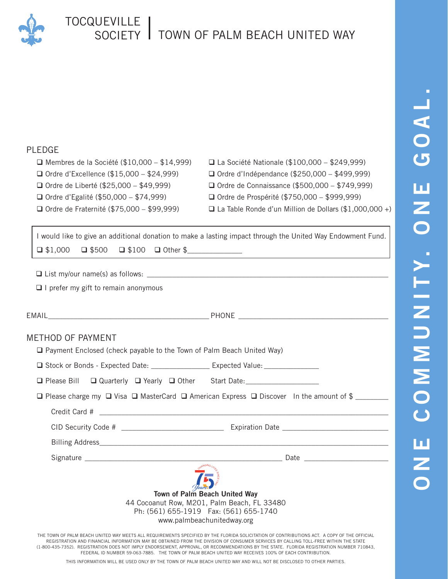

## TOCQUEVILLE SOCIETY TOWN OF PALM BEACH UNITED WAY

## PLEDGE

- 
- Ordre d'Excellence (\$15,000 \$24,999) Ordre d'Indépendance (\$250,000 \$499,999)
- Ordre de Liberté (\$25,000 \$49,999) Ordre de Connaissance (\$500,000 \$749,999)
- Ordre d'Egalité (\$50,000 \$74,999) Ordre de Prospérité (\$750,000 \$999,999)
- 
- Membres de la Société (\$10,000 \$14,999) La Société Nationale (\$100,000 \$249,999)
	-
	-
	-
- Ordre de Fraternité (\$75,000 \$99,999) La Table Ronde d'un Million de Dollars (\$1,000,000 +)

I would like to give an additional donation to make a lasting impact through the United Way Endowment Fund.  $\Box$  \$1,000  $\Box$  \$500  $\Box$  \$100  $\Box$  Other \$

 $\Box$  List my/our name(s) as follows:

 $\Box$  I prefer my gift to remain anonymous

| METHOD OF PAYMENT<br>□ Payment Enclosed (check payable to the Town of Palm Beach United Way)                                                                                                                                                                                                         |  |
|------------------------------------------------------------------------------------------------------------------------------------------------------------------------------------------------------------------------------------------------------------------------------------------------------|--|
| □ Stock or Bonds - Expected Date: _____________________ Expected Value: ______________                                                                                                                                                                                                               |  |
| □ Please Bill □ Quarterly □ Yearly □ Other Start Date: _________________________                                                                                                                                                                                                                     |  |
| $\Box$ Please charge my $\Box$ Visa $\Box$ MasterCard $\Box$ American Express $\Box$ Discover In the amount of \$                                                                                                                                                                                    |  |
|                                                                                                                                                                                                                                                                                                      |  |
|                                                                                                                                                                                                                                                                                                      |  |
|                                                                                                                                                                                                                                                                                                      |  |
|                                                                                                                                                                                                                                                                                                      |  |
| Town of Palm Beach United Way<br>44 Cocoanut Row, M201, Palm Beach, FL 33480<br>Ph: (561) 655-1919  Fax: (561) 655-1740<br>www.palmbeachunitedway.org<br>THE TOWN OF PALM BEACH UNITED WAY MEETS ALL REQUIREMENTS SPECIFIED BY THE ELORIDA SOLICITATION OF CONTRIBUTIONS ACT. A COPY OF THE OFFICIAL |  |

THE TOWN OF PALM BEACH UNITED WAY MEETS ALL REQUIREMENTS SPECIFIED BY THE FLORIDA SOLICITATION OF CONTRIBUTIONS ACT. A COPY OF THE OFFICIAL REGISTRATION AND FINANCIAL INFORMATION MAY BE OBTAINED FROM THE DIVISION OF CONSUMER SERVICES BY CALLING TOLL-FREE WITHIN THE STATE (1-800-435-7352). REGISTRATION DOES NOT IMPLY ENDORSEMENT, APPROVAL, OR RECOMMENDATIONS BY THE STATE. FLORIDA REGISTRATION NUMBER 710843, FEDERAL ID NUMBER 59-063-7885. THE TOWN OF PALM BEACH UNITED WAY RECEIVES 100% OF EACH CONTRIBUTION.